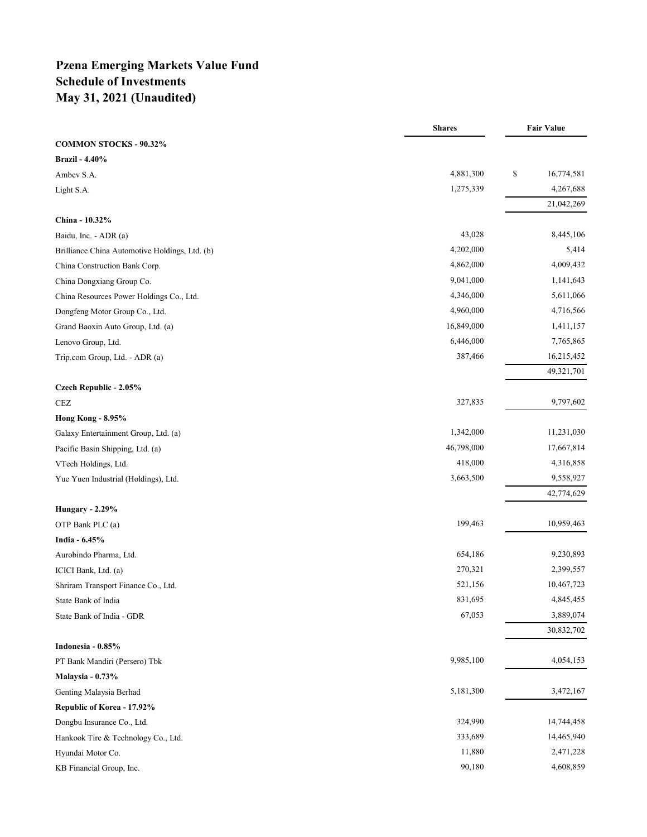# **Pzena Emerging Markets Value Fund Schedule of Investments May 31, 2021 (Unaudited)**

|                                                | <b>Shares</b> | <b>Fair Value</b> |
|------------------------------------------------|---------------|-------------------|
| <b>COMMON STOCKS - 90.32%</b>                  |               |                   |
| <b>Brazil - 4.40%</b>                          |               |                   |
| Ambev S.A.                                     | 4,881,300     | \$<br>16,774,581  |
| Light S.A.                                     | 1,275,339     | 4,267,688         |
|                                                |               | 21,042,269        |
| China - 10.32%                                 |               |                   |
| Baidu, Inc. - ADR (a)                          | 43,028        | 8,445,106         |
| Brilliance China Automotive Holdings, Ltd. (b) | 4,202,000     | 5,414             |
| China Construction Bank Corp.                  | 4,862,000     | 4,009,432         |
| China Dongxiang Group Co.                      | 9,041,000     | 1,141,643         |
| China Resources Power Holdings Co., Ltd.       | 4,346,000     | 5,611,066         |
| Dongfeng Motor Group Co., Ltd.                 | 4,960,000     | 4,716,566         |
| Grand Baoxin Auto Group, Ltd. (a)              | 16,849,000    | 1,411,157         |
| Lenovo Group, Ltd.                             | 6,446,000     | 7,765,865         |
| Trip.com Group, Ltd. - ADR (a)                 | 387,466       | 16,215,452        |
|                                                |               | 49,321,701        |
| Czech Republic - 2.05%                         |               |                   |
| CEZ                                            | 327,835       | 9,797,602         |
| <b>Hong Kong - 8.95%</b>                       |               |                   |
| Galaxy Entertainment Group, Ltd. (a)           | 1,342,000     | 11,231,030        |
| Pacific Basin Shipping, Ltd. (a)               | 46,798,000    | 17,667,814        |
| VTech Holdings, Ltd.                           | 418,000       | 4,316,858         |
| Yue Yuen Industrial (Holdings), Ltd.           | 3,663,500     | 9,558,927         |
|                                                |               | 42,774,629        |
| <b>Hungary - 2.29%</b>                         |               |                   |
| OTP Bank PLC (a)                               | 199,463       | 10,959,463        |
| India - 6.45%                                  |               |                   |
| Aurobindo Pharma, Ltd.                         | 654,186       | 9,230,893         |
| ICICI Bank, Ltd. (a)                           | 270,321       | 2,399,557         |
| Shriram Transport Finance Co., Ltd.            | 521,156       | 10,467,723        |
| State Bank of India                            | 831,695       | 4,845,455         |
| State Bank of India - GDR                      | 67,053        | 3,889,074         |
|                                                |               | 30,832,702        |
| Indonesia - 0.85%                              |               |                   |
| PT Bank Mandiri (Persero) Tbk                  | 9,985,100     | 4,054,153         |
| Malaysia - 0.73%                               |               |                   |
| Genting Malaysia Berhad                        | 5,181,300     | 3,472,167         |
| Republic of Korea - 17.92%                     |               |                   |
| Dongbu Insurance Co., Ltd.                     | 324,990       | 14,744,458        |
| Hankook Tire & Technology Co., Ltd.            | 333,689       | 14,465,940        |
| Hyundai Motor Co.                              | 11,880        | 2,471,228         |
| KB Financial Group, Inc.                       | 90,180        | 4,608,859         |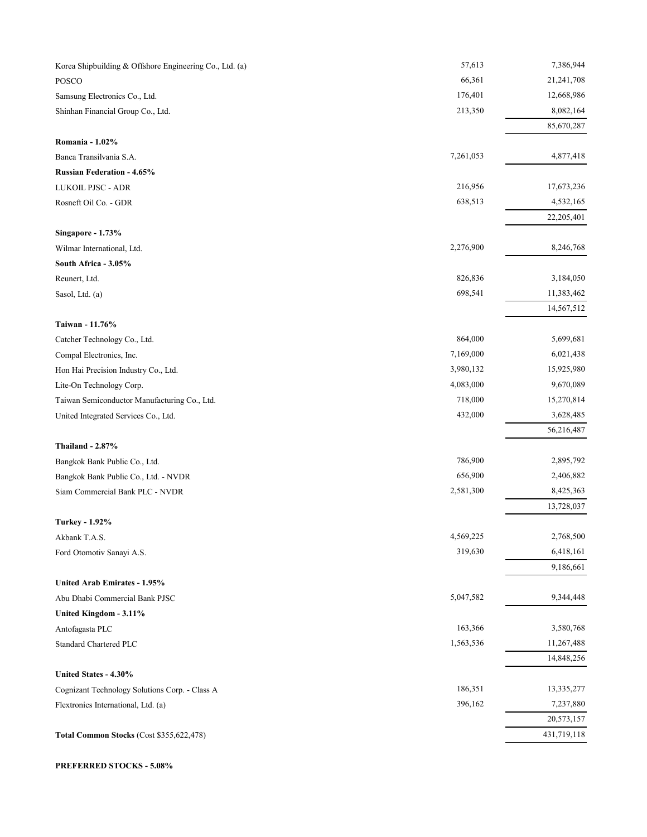| 66,361<br>21,241,708<br>POSCO<br>176,401<br>12,668,986<br>Samsung Electronics Co., Ltd.<br>213,350<br>8,082,164<br>Shinhan Financial Group Co., Ltd.<br>85,670,287<br>Romania - 1.02%<br>7,261,053<br>4,877,418<br>Banca Transilvania S.A.<br><b>Russian Federation - 4.65%</b><br>216,956<br>17,673,236<br>LUKOIL PJSC - ADR<br>4,532,165<br>638,513<br>Rosneft Oil Co. - GDR<br>22,205,401<br>Singapore - 1.73%<br>8,246,768<br>2,276,900<br>Wilmar International, Ltd.<br>South Africa - 3.05%<br>826,836<br>3,184,050<br>Reunert, Ltd.<br>698,541<br>11,383,462<br>Sasol, Ltd. (a)<br>14,567,512<br>Taiwan - 11.76%<br>864,000<br>5,699,681<br>Catcher Technology Co., Ltd.<br>7,169,000<br>6,021,438<br>Compal Electronics, Inc.<br>3,980,132<br>15,925,980<br>Hon Hai Precision Industry Co., Ltd.<br>4,083,000<br>9,670,089<br>Lite-On Technology Corp.<br>718,000<br>15,270,814<br>Taiwan Semiconductor Manufacturing Co., Ltd.<br>3,628,485<br>432,000<br>United Integrated Services Co., Ltd.<br>56,216,487<br><b>Thailand - 2.87%</b><br>786,900<br>2,895,792<br>Bangkok Bank Public Co., Ltd.<br>656,900<br>2,406,882<br>Bangkok Bank Public Co., Ltd. - NVDR<br>8,425,363<br>Siam Commercial Bank PLC - NVDR<br>2,581,300<br>13,728,037<br>Turkey - 1.92%<br>4,569,225<br>2,768,500<br>Akbank T.A.S.<br>319,630<br>6,418,161<br>Ford Otomotiv Sanayi A.S.<br>9,186,661<br><b>United Arab Emirates - 1.95%</b><br>5,047,582<br>9,344,448<br>Abu Dhabi Commercial Bank PJSC<br>United Kingdom - 3.11%<br>163,366<br>3,580,768<br>Antofagasta PLC<br>1,563,536<br>11,267,488<br><b>Standard Chartered PLC</b><br>14,848,256<br>United States - 4.30%<br>186,351<br>13,335,277<br>Cognizant Technology Solutions Corp. - Class A<br>396,162<br>7,237,880<br>Flextronics International, Ltd. (a)<br>20,573,157<br>431,719,118<br>Total Common Stocks (Cost \$355,622,478) | Korea Shipbuilding & Offshore Engineering Co., Ltd. (a) | 57,613 | 7,386,944 |
|-----------------------------------------------------------------------------------------------------------------------------------------------------------------------------------------------------------------------------------------------------------------------------------------------------------------------------------------------------------------------------------------------------------------------------------------------------------------------------------------------------------------------------------------------------------------------------------------------------------------------------------------------------------------------------------------------------------------------------------------------------------------------------------------------------------------------------------------------------------------------------------------------------------------------------------------------------------------------------------------------------------------------------------------------------------------------------------------------------------------------------------------------------------------------------------------------------------------------------------------------------------------------------------------------------------------------------------------------------------------------------------------------------------------------------------------------------------------------------------------------------------------------------------------------------------------------------------------------------------------------------------------------------------------------------------------------------------------------------------------------------------------------------------------------------------------------------------------------------------------------------------|---------------------------------------------------------|--------|-----------|
|                                                                                                                                                                                                                                                                                                                                                                                                                                                                                                                                                                                                                                                                                                                                                                                                                                                                                                                                                                                                                                                                                                                                                                                                                                                                                                                                                                                                                                                                                                                                                                                                                                                                                                                                                                                                                                                                                   |                                                         |        |           |
|                                                                                                                                                                                                                                                                                                                                                                                                                                                                                                                                                                                                                                                                                                                                                                                                                                                                                                                                                                                                                                                                                                                                                                                                                                                                                                                                                                                                                                                                                                                                                                                                                                                                                                                                                                                                                                                                                   |                                                         |        |           |
|                                                                                                                                                                                                                                                                                                                                                                                                                                                                                                                                                                                                                                                                                                                                                                                                                                                                                                                                                                                                                                                                                                                                                                                                                                                                                                                                                                                                                                                                                                                                                                                                                                                                                                                                                                                                                                                                                   |                                                         |        |           |
|                                                                                                                                                                                                                                                                                                                                                                                                                                                                                                                                                                                                                                                                                                                                                                                                                                                                                                                                                                                                                                                                                                                                                                                                                                                                                                                                                                                                                                                                                                                                                                                                                                                                                                                                                                                                                                                                                   |                                                         |        |           |
|                                                                                                                                                                                                                                                                                                                                                                                                                                                                                                                                                                                                                                                                                                                                                                                                                                                                                                                                                                                                                                                                                                                                                                                                                                                                                                                                                                                                                                                                                                                                                                                                                                                                                                                                                                                                                                                                                   |                                                         |        |           |
|                                                                                                                                                                                                                                                                                                                                                                                                                                                                                                                                                                                                                                                                                                                                                                                                                                                                                                                                                                                                                                                                                                                                                                                                                                                                                                                                                                                                                                                                                                                                                                                                                                                                                                                                                                                                                                                                                   |                                                         |        |           |
|                                                                                                                                                                                                                                                                                                                                                                                                                                                                                                                                                                                                                                                                                                                                                                                                                                                                                                                                                                                                                                                                                                                                                                                                                                                                                                                                                                                                                                                                                                                                                                                                                                                                                                                                                                                                                                                                                   |                                                         |        |           |
|                                                                                                                                                                                                                                                                                                                                                                                                                                                                                                                                                                                                                                                                                                                                                                                                                                                                                                                                                                                                                                                                                                                                                                                                                                                                                                                                                                                                                                                                                                                                                                                                                                                                                                                                                                                                                                                                                   |                                                         |        |           |
|                                                                                                                                                                                                                                                                                                                                                                                                                                                                                                                                                                                                                                                                                                                                                                                                                                                                                                                                                                                                                                                                                                                                                                                                                                                                                                                                                                                                                                                                                                                                                                                                                                                                                                                                                                                                                                                                                   |                                                         |        |           |
|                                                                                                                                                                                                                                                                                                                                                                                                                                                                                                                                                                                                                                                                                                                                                                                                                                                                                                                                                                                                                                                                                                                                                                                                                                                                                                                                                                                                                                                                                                                                                                                                                                                                                                                                                                                                                                                                                   |                                                         |        |           |
|                                                                                                                                                                                                                                                                                                                                                                                                                                                                                                                                                                                                                                                                                                                                                                                                                                                                                                                                                                                                                                                                                                                                                                                                                                                                                                                                                                                                                                                                                                                                                                                                                                                                                                                                                                                                                                                                                   |                                                         |        |           |
|                                                                                                                                                                                                                                                                                                                                                                                                                                                                                                                                                                                                                                                                                                                                                                                                                                                                                                                                                                                                                                                                                                                                                                                                                                                                                                                                                                                                                                                                                                                                                                                                                                                                                                                                                                                                                                                                                   |                                                         |        |           |
|                                                                                                                                                                                                                                                                                                                                                                                                                                                                                                                                                                                                                                                                                                                                                                                                                                                                                                                                                                                                                                                                                                                                                                                                                                                                                                                                                                                                                                                                                                                                                                                                                                                                                                                                                                                                                                                                                   |                                                         |        |           |
|                                                                                                                                                                                                                                                                                                                                                                                                                                                                                                                                                                                                                                                                                                                                                                                                                                                                                                                                                                                                                                                                                                                                                                                                                                                                                                                                                                                                                                                                                                                                                                                                                                                                                                                                                                                                                                                                                   |                                                         |        |           |
|                                                                                                                                                                                                                                                                                                                                                                                                                                                                                                                                                                                                                                                                                                                                                                                                                                                                                                                                                                                                                                                                                                                                                                                                                                                                                                                                                                                                                                                                                                                                                                                                                                                                                                                                                                                                                                                                                   |                                                         |        |           |
|                                                                                                                                                                                                                                                                                                                                                                                                                                                                                                                                                                                                                                                                                                                                                                                                                                                                                                                                                                                                                                                                                                                                                                                                                                                                                                                                                                                                                                                                                                                                                                                                                                                                                                                                                                                                                                                                                   |                                                         |        |           |
|                                                                                                                                                                                                                                                                                                                                                                                                                                                                                                                                                                                                                                                                                                                                                                                                                                                                                                                                                                                                                                                                                                                                                                                                                                                                                                                                                                                                                                                                                                                                                                                                                                                                                                                                                                                                                                                                                   |                                                         |        |           |
|                                                                                                                                                                                                                                                                                                                                                                                                                                                                                                                                                                                                                                                                                                                                                                                                                                                                                                                                                                                                                                                                                                                                                                                                                                                                                                                                                                                                                                                                                                                                                                                                                                                                                                                                                                                                                                                                                   |                                                         |        |           |
|                                                                                                                                                                                                                                                                                                                                                                                                                                                                                                                                                                                                                                                                                                                                                                                                                                                                                                                                                                                                                                                                                                                                                                                                                                                                                                                                                                                                                                                                                                                                                                                                                                                                                                                                                                                                                                                                                   |                                                         |        |           |
|                                                                                                                                                                                                                                                                                                                                                                                                                                                                                                                                                                                                                                                                                                                                                                                                                                                                                                                                                                                                                                                                                                                                                                                                                                                                                                                                                                                                                                                                                                                                                                                                                                                                                                                                                                                                                                                                                   |                                                         |        |           |
|                                                                                                                                                                                                                                                                                                                                                                                                                                                                                                                                                                                                                                                                                                                                                                                                                                                                                                                                                                                                                                                                                                                                                                                                                                                                                                                                                                                                                                                                                                                                                                                                                                                                                                                                                                                                                                                                                   |                                                         |        |           |
|                                                                                                                                                                                                                                                                                                                                                                                                                                                                                                                                                                                                                                                                                                                                                                                                                                                                                                                                                                                                                                                                                                                                                                                                                                                                                                                                                                                                                                                                                                                                                                                                                                                                                                                                                                                                                                                                                   |                                                         |        |           |
|                                                                                                                                                                                                                                                                                                                                                                                                                                                                                                                                                                                                                                                                                                                                                                                                                                                                                                                                                                                                                                                                                                                                                                                                                                                                                                                                                                                                                                                                                                                                                                                                                                                                                                                                                                                                                                                                                   |                                                         |        |           |
|                                                                                                                                                                                                                                                                                                                                                                                                                                                                                                                                                                                                                                                                                                                                                                                                                                                                                                                                                                                                                                                                                                                                                                                                                                                                                                                                                                                                                                                                                                                                                                                                                                                                                                                                                                                                                                                                                   |                                                         |        |           |
|                                                                                                                                                                                                                                                                                                                                                                                                                                                                                                                                                                                                                                                                                                                                                                                                                                                                                                                                                                                                                                                                                                                                                                                                                                                                                                                                                                                                                                                                                                                                                                                                                                                                                                                                                                                                                                                                                   |                                                         |        |           |
|                                                                                                                                                                                                                                                                                                                                                                                                                                                                                                                                                                                                                                                                                                                                                                                                                                                                                                                                                                                                                                                                                                                                                                                                                                                                                                                                                                                                                                                                                                                                                                                                                                                                                                                                                                                                                                                                                   |                                                         |        |           |
|                                                                                                                                                                                                                                                                                                                                                                                                                                                                                                                                                                                                                                                                                                                                                                                                                                                                                                                                                                                                                                                                                                                                                                                                                                                                                                                                                                                                                                                                                                                                                                                                                                                                                                                                                                                                                                                                                   |                                                         |        |           |
|                                                                                                                                                                                                                                                                                                                                                                                                                                                                                                                                                                                                                                                                                                                                                                                                                                                                                                                                                                                                                                                                                                                                                                                                                                                                                                                                                                                                                                                                                                                                                                                                                                                                                                                                                                                                                                                                                   |                                                         |        |           |
|                                                                                                                                                                                                                                                                                                                                                                                                                                                                                                                                                                                                                                                                                                                                                                                                                                                                                                                                                                                                                                                                                                                                                                                                                                                                                                                                                                                                                                                                                                                                                                                                                                                                                                                                                                                                                                                                                   |                                                         |        |           |
|                                                                                                                                                                                                                                                                                                                                                                                                                                                                                                                                                                                                                                                                                                                                                                                                                                                                                                                                                                                                                                                                                                                                                                                                                                                                                                                                                                                                                                                                                                                                                                                                                                                                                                                                                                                                                                                                                   |                                                         |        |           |
|                                                                                                                                                                                                                                                                                                                                                                                                                                                                                                                                                                                                                                                                                                                                                                                                                                                                                                                                                                                                                                                                                                                                                                                                                                                                                                                                                                                                                                                                                                                                                                                                                                                                                                                                                                                                                                                                                   |                                                         |        |           |
|                                                                                                                                                                                                                                                                                                                                                                                                                                                                                                                                                                                                                                                                                                                                                                                                                                                                                                                                                                                                                                                                                                                                                                                                                                                                                                                                                                                                                                                                                                                                                                                                                                                                                                                                                                                                                                                                                   |                                                         |        |           |
|                                                                                                                                                                                                                                                                                                                                                                                                                                                                                                                                                                                                                                                                                                                                                                                                                                                                                                                                                                                                                                                                                                                                                                                                                                                                                                                                                                                                                                                                                                                                                                                                                                                                                                                                                                                                                                                                                   |                                                         |        |           |
|                                                                                                                                                                                                                                                                                                                                                                                                                                                                                                                                                                                                                                                                                                                                                                                                                                                                                                                                                                                                                                                                                                                                                                                                                                                                                                                                                                                                                                                                                                                                                                                                                                                                                                                                                                                                                                                                                   |                                                         |        |           |
|                                                                                                                                                                                                                                                                                                                                                                                                                                                                                                                                                                                                                                                                                                                                                                                                                                                                                                                                                                                                                                                                                                                                                                                                                                                                                                                                                                                                                                                                                                                                                                                                                                                                                                                                                                                                                                                                                   |                                                         |        |           |
|                                                                                                                                                                                                                                                                                                                                                                                                                                                                                                                                                                                                                                                                                                                                                                                                                                                                                                                                                                                                                                                                                                                                                                                                                                                                                                                                                                                                                                                                                                                                                                                                                                                                                                                                                                                                                                                                                   |                                                         |        |           |
|                                                                                                                                                                                                                                                                                                                                                                                                                                                                                                                                                                                                                                                                                                                                                                                                                                                                                                                                                                                                                                                                                                                                                                                                                                                                                                                                                                                                                                                                                                                                                                                                                                                                                                                                                                                                                                                                                   |                                                         |        |           |
|                                                                                                                                                                                                                                                                                                                                                                                                                                                                                                                                                                                                                                                                                                                                                                                                                                                                                                                                                                                                                                                                                                                                                                                                                                                                                                                                                                                                                                                                                                                                                                                                                                                                                                                                                                                                                                                                                   |                                                         |        |           |
|                                                                                                                                                                                                                                                                                                                                                                                                                                                                                                                                                                                                                                                                                                                                                                                                                                                                                                                                                                                                                                                                                                                                                                                                                                                                                                                                                                                                                                                                                                                                                                                                                                                                                                                                                                                                                                                                                   |                                                         |        |           |
|                                                                                                                                                                                                                                                                                                                                                                                                                                                                                                                                                                                                                                                                                                                                                                                                                                                                                                                                                                                                                                                                                                                                                                                                                                                                                                                                                                                                                                                                                                                                                                                                                                                                                                                                                                                                                                                                                   |                                                         |        |           |
|                                                                                                                                                                                                                                                                                                                                                                                                                                                                                                                                                                                                                                                                                                                                                                                                                                                                                                                                                                                                                                                                                                                                                                                                                                                                                                                                                                                                                                                                                                                                                                                                                                                                                                                                                                                                                                                                                   |                                                         |        |           |
|                                                                                                                                                                                                                                                                                                                                                                                                                                                                                                                                                                                                                                                                                                                                                                                                                                                                                                                                                                                                                                                                                                                                                                                                                                                                                                                                                                                                                                                                                                                                                                                                                                                                                                                                                                                                                                                                                   |                                                         |        |           |
|                                                                                                                                                                                                                                                                                                                                                                                                                                                                                                                                                                                                                                                                                                                                                                                                                                                                                                                                                                                                                                                                                                                                                                                                                                                                                                                                                                                                                                                                                                                                                                                                                                                                                                                                                                                                                                                                                   |                                                         |        |           |

**PREFERRED STOCKS - 5.08%**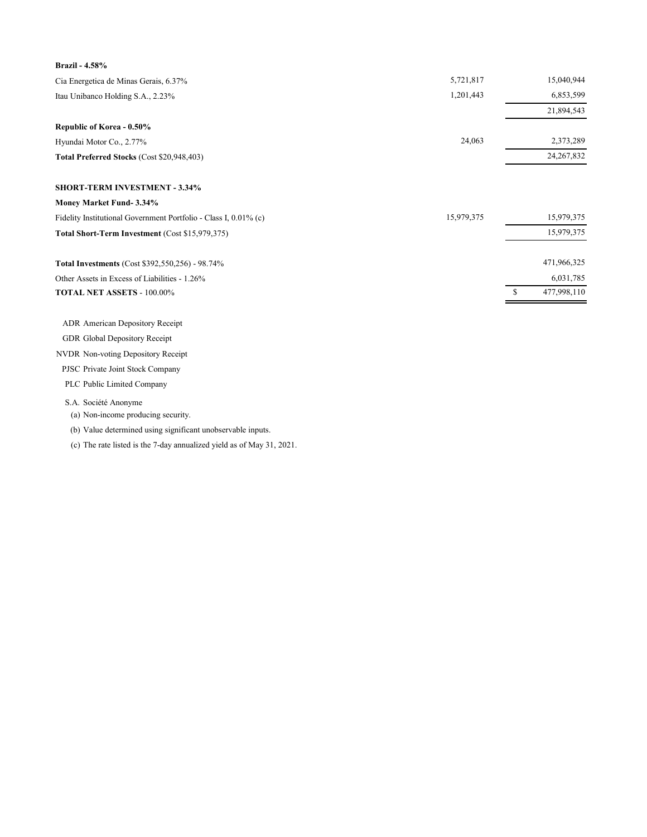| 5,721,817  |               | 15,040,944   |
|------------|---------------|--------------|
| 1,201,443  |               | 6,853,599    |
|            |               | 21,894,543   |
|            |               |              |
| 24,063     |               | 2,373,289    |
|            |               | 24, 267, 832 |
|            |               |              |
|            |               |              |
| 15,979,375 |               | 15,979,375   |
|            |               | 15,979,375   |
|            |               | 471,966,325  |
|            |               | 6,031,785    |
|            | <sup>\$</sup> | 477,998,110  |
|            |               |              |
|            |               |              |
|            |               |              |
|            |               |              |

PJSC Private Joint Stock Company

PLC Public Limited Company

### S.A. Société Anonyme

(a) Non-income producing security.

(b) Value determined using significant unobservable inputs.

(c) The rate listed is the 7-day annualized yield as of May 31, 2021.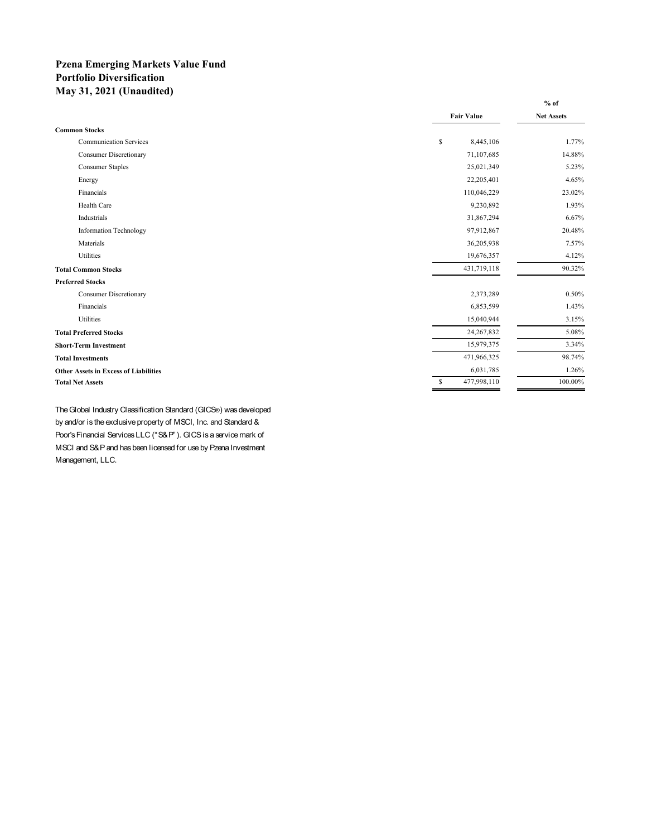## **Pzena Emerging Markets Value Fund Portfolio Diversification May 31, 2021 (Unaudited)**

|                                              |                              | $%$ of            |
|----------------------------------------------|------------------------------|-------------------|
|                                              | <b>Fair Value</b>            | <b>Net Assets</b> |
| <b>Common Stocks</b>                         |                              |                   |
| <b>Communication Services</b>                | \$<br>8,445,106              | 1.77%             |
| <b>Consumer Discretionary</b>                | 71,107,685                   | 14.88%            |
| <b>Consumer Staples</b>                      | 25,021,349                   | 5.23%             |
| Energy                                       | 22,205,401                   | 4.65%             |
| Financials                                   | 110,046,229                  | 23.02%            |
| Health Care                                  | 9,230,892                    | 1.93%             |
| Industrials                                  | 31,867,294                   | 6.67%             |
| <b>Information Technology</b>                | 97,912,867                   | 20.48%            |
| Materials                                    | 36,205,938                   | 7.57%             |
| Utilities                                    | 19,676,357                   | 4.12%             |
| <b>Total Common Stocks</b>                   | 431,719,118                  | 90.32%            |
| <b>Preferred Stocks</b>                      |                              |                   |
| <b>Consumer Discretionary</b>                | 2,373,289                    | 0.50%             |
| Financials                                   | 6,853,599                    | 1.43%             |
| Utilities                                    | 15,040,944                   | 3.15%             |
| <b>Total Preferred Stocks</b>                | 24, 267, 832                 | 5.08%             |
| <b>Short-Term Investment</b>                 | 15,979,375                   | 3.34%             |
| <b>Total Investments</b>                     | 471,966,325                  | 98.74%            |
| <b>Other Assets in Excess of Liabilities</b> | 6,031,785                    | 1.26%             |
| <b>Total Net Assets</b>                      | 477,998,110<br><sup>\$</sup> | 100.00%           |
|                                              |                              |                   |

The Global Industry Classification Standard (GICS®) was developed by and/or is the exclusive property of MSCI, Inc. and Standard & Poor's Financial Services LLC ("S&P"). GICS is a service mark of MSCI and S&P and has been licensed for use by Pzena Investment Management, LLC.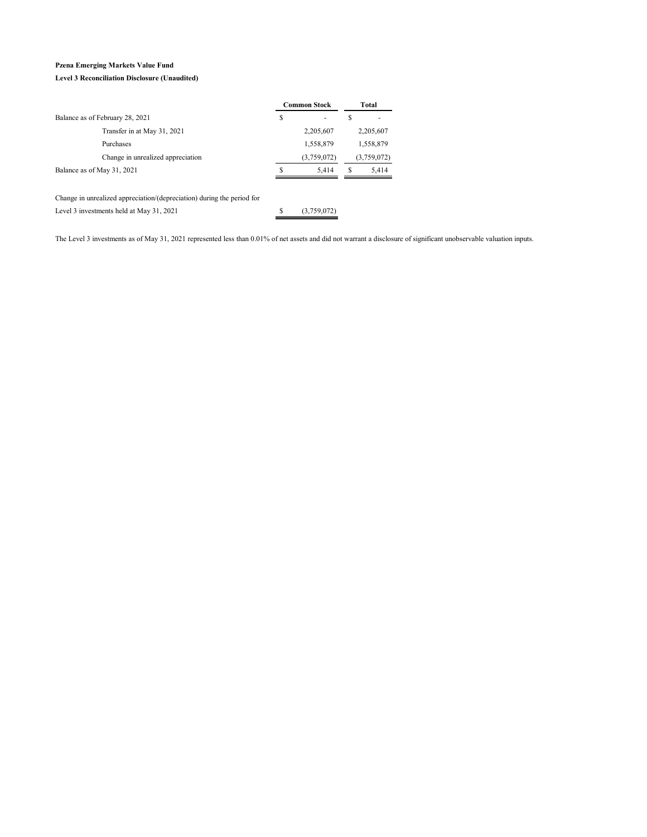### **Pzena Emerging Markets Value Fund**

#### **Level 3 Reconciliation Disclosure (Unaudited)**

|                                                                        |    | <b>Common Stock</b> |   | Total       |
|------------------------------------------------------------------------|----|---------------------|---|-------------|
| Balance as of February 28, 2021                                        | \$ | ۰                   | S |             |
| Transfer in at May 31, 2021                                            |    | 2,205,607           |   | 2,205,607   |
| Purchases                                                              |    | 1,558,879           |   | 1,558,879   |
| Change in unrealized appreciation                                      |    | (3,759,072)         |   | (3,759,072) |
| Balance as of May 31, 2021                                             | S  | 5.414               | S | 5,414       |
|                                                                        |    |                     |   |             |
| Change in unrealized appreciation/(depreciation) during the period for |    |                     |   |             |
| Level 3 investments held at May 31, 2021                               | S  | (3,759,072)         |   |             |

The Level 3 investments as of May 31, 2021 represented less than 0.01% of net assets and did not warrant a disclosure of significant unobservable valuation inputs.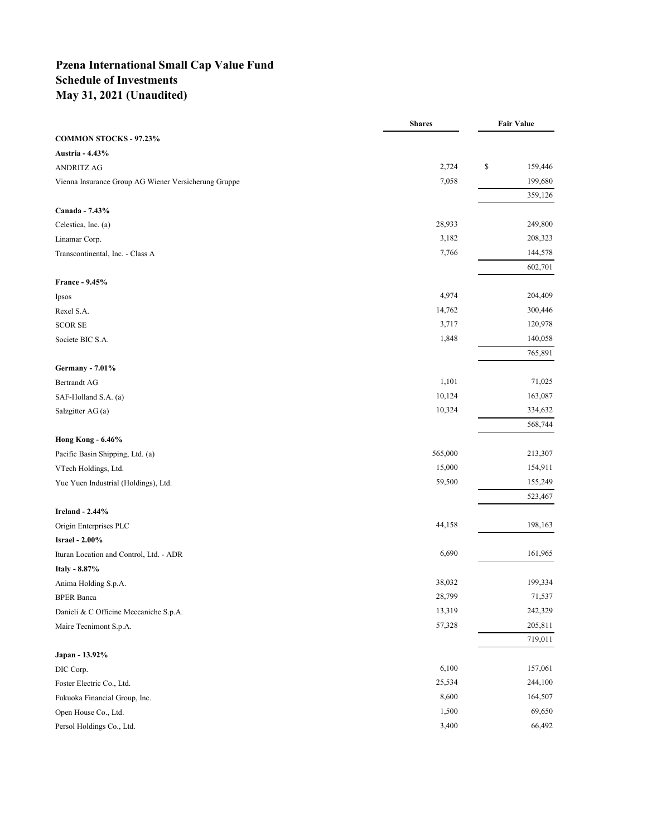## **Pzena International Small Cap Value Fund Schedule of Investments May 31, 2021 (Unaudited)**

|                                                      | <b>Shares</b> | <b>Fair Value</b> |         |
|------------------------------------------------------|---------------|-------------------|---------|
| COMMON STOCKS - 97.23%                               |               |                   |         |
| Austria - 4.43%                                      |               |                   |         |
| <b>ANDRITZ AG</b>                                    | 2,724         | \$                | 159,446 |
| Vienna Insurance Group AG Wiener Versicherung Gruppe | 7,058         |                   | 199,680 |
|                                                      |               |                   | 359,126 |
| Canada - 7.43%                                       |               |                   |         |
| Celestica, Inc. (a)                                  | 28,933        |                   | 249,800 |
| Linamar Corp.                                        | 3,182         |                   | 208,323 |
| Transcontinental, Inc. - Class A                     | 7,766         |                   | 144,578 |
|                                                      |               |                   | 602,701 |
| France - 9.45%                                       |               |                   |         |
| Ipsos                                                | 4,974         |                   | 204,409 |
| Rexel S.A.                                           | 14,762        |                   | 300,446 |
| <b>SCOR SE</b>                                       | 3,717         |                   | 120,978 |
| Societe BIC S.A.                                     | 1,848         |                   | 140,058 |
|                                                      |               |                   | 765,891 |
| <b>Germany - 7.01%</b>                               |               |                   |         |
| <b>Bertrandt AG</b>                                  | 1,101         |                   | 71,025  |
| SAF-Holland S.A. (a)                                 | 10,124        |                   | 163,087 |
| Salzgitter AG (a)                                    | 10,324        |                   | 334,632 |
|                                                      |               |                   | 568,744 |
| <b>Hong Kong - 6.46%</b>                             |               |                   |         |
| Pacific Basin Shipping, Ltd. (a)                     | 565,000       |                   | 213,307 |
| VTech Holdings, Ltd.                                 | 15,000        |                   | 154,911 |
| Yue Yuen Industrial (Holdings), Ltd.                 | 59,500        |                   | 155,249 |
|                                                      |               |                   | 523,467 |
| <b>Ireland - 2.44%</b>                               |               |                   |         |
| Origin Enterprises PLC                               | 44,158        |                   | 198,163 |
| <b>Israel - 2.00%</b>                                |               |                   |         |
| Ituran Location and Control, Ltd. - ADR              | 6,690         |                   | 161,965 |
| Italy - 8.87%                                        |               |                   |         |
| Anima Holding S.p.A.                                 | 38,032        |                   | 199,334 |
| <b>BPER Banca</b>                                    | 28,799        |                   | 71,537  |
| Danieli & C Officine Meccaniche S.p.A.               | 13,319        |                   | 242,329 |
| Maire Tecnimont S.p.A.                               | 57,328        |                   | 205,811 |
|                                                      |               |                   | 719,011 |
| Japan - 13.92%                                       |               |                   |         |
| DIC Corp.                                            | 6,100         |                   | 157,061 |
| Foster Electric Co., Ltd.                            | 25,534        |                   | 244,100 |
| Fukuoka Financial Group, Inc.                        | 8,600         |                   | 164,507 |
| Open House Co., Ltd.                                 | 1,500         |                   | 69,650  |
| Persol Holdings Co., Ltd.                            | 3,400         |                   | 66,492  |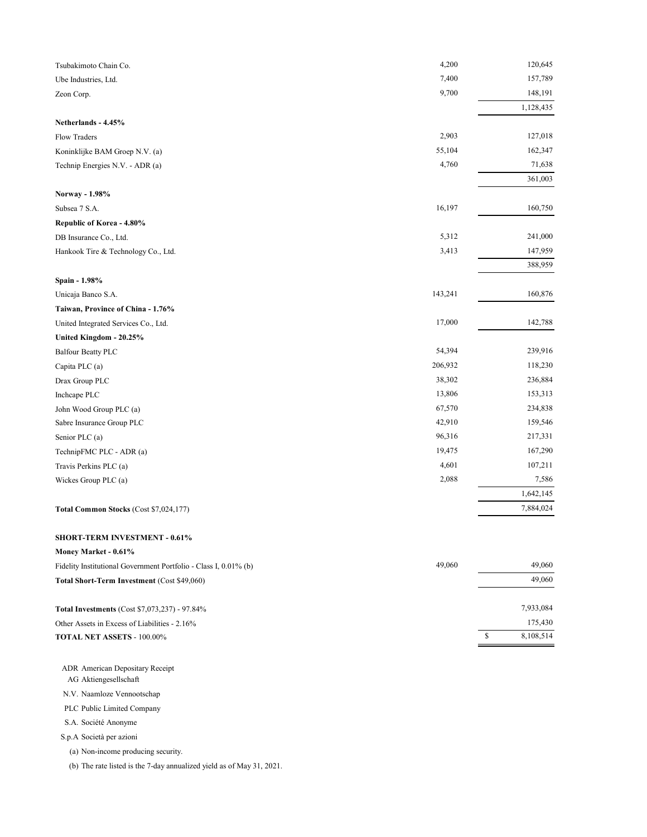| Tsubakimoto Chain Co.                  | 4,200   | 120,645   |
|----------------------------------------|---------|-----------|
| Ube Industries, Ltd.                   | 7,400   | 157,789   |
| Zeon Corp.                             | 9,700   | 148,191   |
|                                        |         | 1,128,435 |
| Netherlands - 4.45%                    |         |           |
| <b>Flow Traders</b>                    | 2,903   | 127,018   |
| Koninklijke BAM Groep N.V. (a)         | 55,104  | 162,347   |
| Technip Energies N.V. - ADR (a)        | 4,760   | 71,638    |
|                                        |         | 361,003   |
| Norway - 1.98%                         |         |           |
| Subsea 7 S.A.                          | 16,197  | 160,750   |
| Republic of Korea - 4.80%              |         |           |
| DB Insurance Co., Ltd.                 | 5,312   | 241,000   |
| Hankook Tire & Technology Co., Ltd.    | 3,413   | 147,959   |
|                                        |         | 388,959   |
| Spain - 1.98%                          |         |           |
| Unicaja Banco S.A.                     | 143,241 | 160,876   |
| Taiwan, Province of China - 1.76%      |         |           |
| United Integrated Services Co., Ltd.   | 17,000  | 142,788   |
| United Kingdom - 20.25%                |         |           |
| <b>Balfour Beatty PLC</b>              | 54,394  | 239,916   |
| Capita PLC (a)                         | 206,932 | 118,230   |
| Drax Group PLC                         | 38,302  | 236,884   |
| Inchcape PLC                           | 13,806  | 153,313   |
| John Wood Group PLC (a)                | 67,570  | 234,838   |
| Sabre Insurance Group PLC              | 42,910  | 159,546   |
| Senior PLC (a)                         | 96,316  | 217,331   |
| TechnipFMC PLC - ADR (a)               | 19,475  | 167,290   |
| Travis Perkins PLC (a)                 | 4,601   | 107,211   |
| Wickes Group PLC (a)                   | 2,088   | 7,586     |
|                                        |         | 1,642,145 |
| Total Common Stocks (Cost \$7,024,177) |         | 7,884,024 |
|                                        |         |           |

#### **SHORT-TERM INVESTMENT - 0.61%**

| Money Market - 0.61%                                             |        |           |
|------------------------------------------------------------------|--------|-----------|
| Fidelity Institutional Government Portfolio - Class I, 0.01% (b) | 49,060 | 49,060    |
| <b>Total Short-Term Investment (Cost \$49,060)</b>               |        | 49,060    |
|                                                                  |        |           |
| <b>Total Investments (Cost \$7,073,237) - 97.84%</b>             |        | 7,933,084 |
| Other Assets in Excess of Liabilities - 2.16%                    |        | 175,430   |
| <b>TOTAL NET ASSETS - 100.00%</b>                                |        | 8.108.514 |
|                                                                  |        |           |

ADR American Depositary Receipt

AG Aktiengesellschaft

N.V. Naamloze Vennootschap

PLC Public Limited Company

S.A. Société Anonyme

S.p.A Società per azioni

(a) Non-income producing security.

(b) The rate listed is the 7-day annualized yield as of May 31, 2021.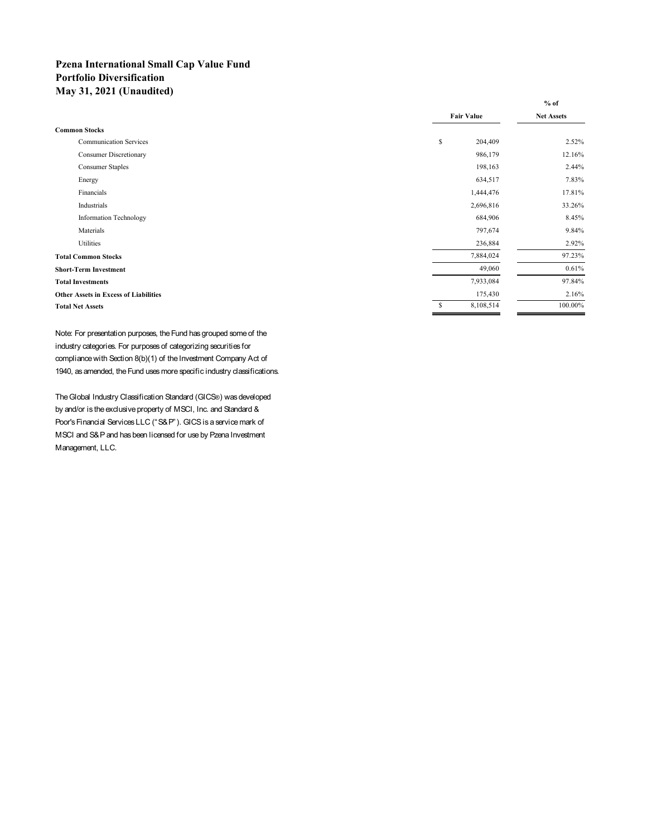## **Pzena International Small Cap Value Fund Portfolio Diversification May 31, 2021 (Unaudited)**

|                                              |                   | $%$ of            |
|----------------------------------------------|-------------------|-------------------|
|                                              | <b>Fair Value</b> | <b>Net Assets</b> |
| <b>Common Stocks</b>                         |                   |                   |
| <b>Communication Services</b>                | \$<br>204,409     | 2.52%             |
| <b>Consumer Discretionary</b>                | 986,179           | 12.16%            |
| <b>Consumer Staples</b>                      | 198,163           | 2.44%             |
| Energy                                       | 634,517           | 7.83%             |
| Financials                                   | 1,444,476         | 17.81%            |
| Industrials                                  | 2,696,816         | 33.26%            |
| <b>Information Technology</b>                | 684,906           | 8.45%             |
| Materials                                    | 797,674           | 9.84%             |
| Utilities                                    | 236,884           | 2.92%             |
| <b>Total Common Stocks</b>                   | 7,884,024         | 97.23%            |
| <b>Short-Term Investment</b>                 | 49,060            | 0.61%             |
| <b>Total Investments</b>                     | 7,933,084         | 97.84%            |
| <b>Other Assets in Excess of Liabilities</b> | 175,430           | 2.16%             |
| <b>Total Net Assets</b>                      | \$<br>8,108,514   | 100.00%           |

Note: For presentation purposes, the Fund has grouped some of the industry categories. For purposes of categorizing securities for compliance with Section 8(b)(1) of the Investment Company Act of 1940, as amended, the Fund uses more specific industry classifications.

The Global Industry Classification Standard (GICS®) was developed by and/or is the exclusive property of MSCI, Inc. and Standard & Poor's Financial Services LLC ("S&P"). GICS is a service mark of MSCI and S&P and has been licensed for use by Pzena Investment Management, LLC.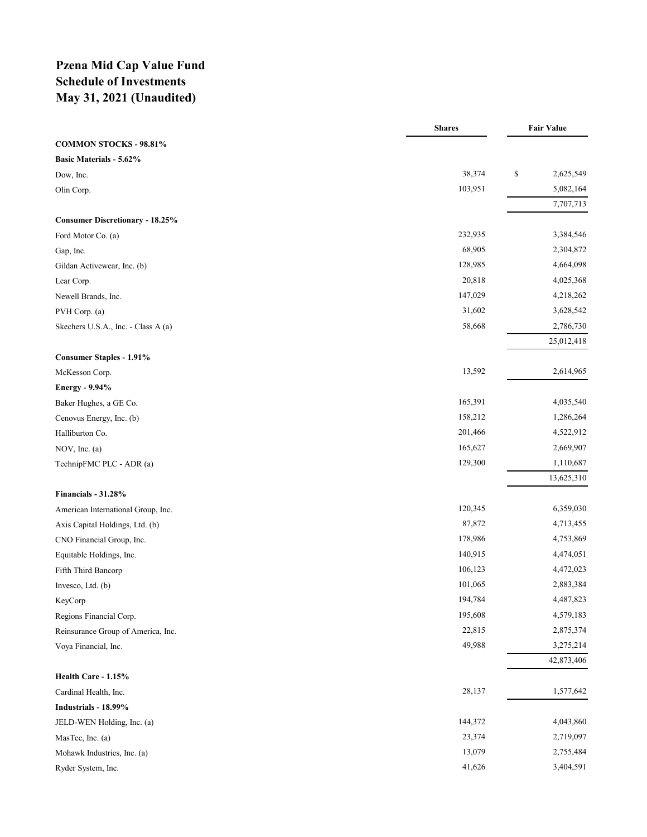## **Pzena Mid Cap Value Fund Schedule of Investments May 31, 2021 (Unaudited)**

|                                        | <b>Shares</b> | <b>Fair Value</b> |
|----------------------------------------|---------------|-------------------|
| <b>COMMON STOCKS - 98.81%</b>          |               |                   |
| <b>Basic Materials - 5.62%</b>         |               |                   |
| Dow, Inc.                              | 38,374        | \$<br>2,625,549   |
| Olin Corp.                             | 103,951       | 5,082,164         |
|                                        |               | 7,707,713         |
| <b>Consumer Discretionary - 18.25%</b> |               |                   |
| Ford Motor Co. (a)                     | 232,935       | 3,384,546         |
| Gap, Inc.                              | 68,905        | 2,304,872         |
| Gildan Activewear, Inc. (b)            | 128,985       | 4,664,098         |
| Lear Corp.                             | 20,818        | 4,025,368         |
| Newell Brands, Inc.                    | 147,029       | 4,218,262         |
| PVH Corp. (a)                          | 31,602        | 3,628,542         |
| Skechers U.S.A., Inc. - Class A (a)    | 58,668        | 2,786,730         |
|                                        |               | 25,012,418        |
| <b>Consumer Staples - 1.91%</b>        |               |                   |
| McKesson Corp.                         | 13,592        | 2,614,965         |
| Energy - 9.94%                         |               |                   |
| Baker Hughes, a GE Co.                 | 165,391       | 4,035,540         |
| Cenovus Energy, Inc. (b)               | 158,212       | 1,286,264         |
| Halliburton Co.                        | 201,466       | 4,522,912         |
| NOV, Inc. $(a)$                        | 165,627       | 2,669,907         |
| TechnipFMC PLC - ADR (a)               | 129,300       | 1,110,687         |
|                                        |               | 13,625,310        |
| Financials - 31.28%                    |               |                   |
| American International Group, Inc.     | 120,345       | 6,359,030         |
| Axis Capital Holdings, Ltd. (b)        | 87,872        | 4,713,455         |
| CNO Financial Group, Inc.              | 178,986       | 4,753,869         |
| Equitable Holdings, Inc.               | 140,915       | 4,474,051         |
| Fifth Third Bancorp                    | 106,123       | 4,472,023         |
| Invesco, Ltd. (b)                      | 101,065       | 2,883,384         |
| KeyCorp                                | 194,784       | 4,487,823         |
| Regions Financial Corp.                | 195,608       | 4,579,183         |
| Reinsurance Group of America, Inc.     | 22,815        | 2,875,374         |
| Voya Financial, Inc.                   | 49,988        | 3,275,214         |
|                                        |               | 42,873,406        |
| Health Care - 1.15%                    |               |                   |
| Cardinal Health, Inc.                  | 28,137        | 1,577,642         |
| Industrials - 18.99%                   |               |                   |
| JELD-WEN Holding, Inc. (a)             | 144,372       | 4,043,860         |
| MasTec, Inc. (a)                       | 23,374        | 2,719,097         |
| Mohawk Industries, Inc. (a)            | 13,079        | 2,755,484         |
| Ryder System, Inc.                     | 41,626        | 3,404,591         |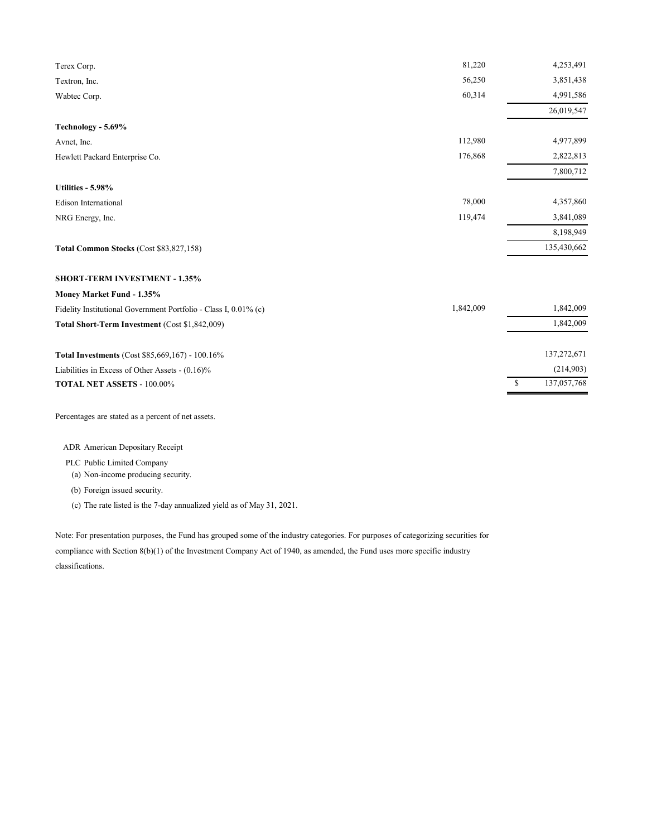| 81,220    | 4,253,491         |
|-----------|-------------------|
| 56,250    | 3,851,438         |
| 60,314    | 4,991,586         |
|           | 26,019,547        |
|           |                   |
| 112,980   | 4,977,899         |
| 176,868   | 2,822,813         |
|           | 7,800,712         |
|           |                   |
| 78,000    | 4,357,860         |
| 119,474   | 3,841,089         |
|           | 8,198,949         |
|           | 135,430,662       |
|           |                   |
|           |                   |
| 1,842,009 | 1,842,009         |
|           | 1,842,009         |
|           | 137,272,671       |
|           | (214,903)         |
|           | \$<br>137,057,768 |
|           |                   |

Percentages are stated as a percent of net assets.

ADR American Depositary Receipt

### PLC Public Limited Company

(a) Non-income producing security.

(b) Foreign issued security.

(c) The rate listed is the 7-day annualized yield as of May 31, 2021.

Note: For presentation purposes, the Fund has grouped some of the industry categories. For purposes of categorizing securities for compliance with Section 8(b)(1) of the Investment Company Act of 1940, as amended, the Fund uses more specific industry classifications.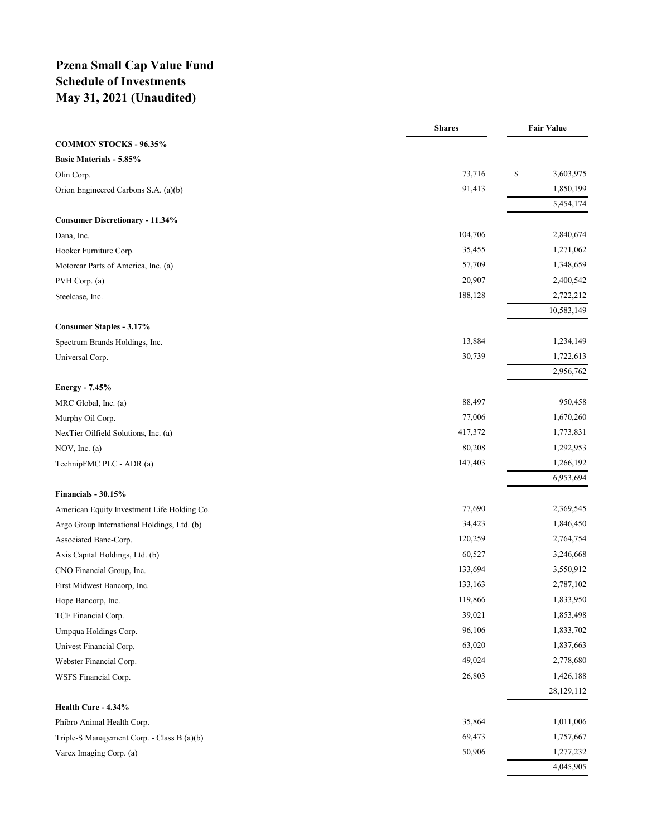## **Pzena Small Cap Value Fund Schedule of Investments May 31, 2021 (Unaudited)**

|                                             | <b>Shares</b> | <b>Fair Value</b> |
|---------------------------------------------|---------------|-------------------|
| <b>COMMON STOCKS - 96.35%</b>               |               |                   |
| <b>Basic Materials - 5.85%</b>              |               |                   |
| Olin Corp.                                  | 73,716        | \$<br>3,603,975   |
| Orion Engineered Carbons S.A. (a)(b)        | 91,413        | 1,850,199         |
|                                             |               | 5,454,174         |
| <b>Consumer Discretionary - 11.34%</b>      |               |                   |
| Dana, Inc.                                  | 104,706       | 2,840,674         |
| Hooker Furniture Corp.                      | 35,455        | 1,271,062         |
| Motorcar Parts of America, Inc. (a)         | 57,709        | 1,348,659         |
| PVH Corp. (a)                               | 20,907        | 2,400,542         |
| Steelcase, Inc.                             | 188,128       | 2,722,212         |
|                                             |               | 10,583,149        |
| <b>Consumer Staples - 3.17%</b>             |               |                   |
| Spectrum Brands Holdings, Inc.              | 13,884        | 1,234,149         |
| Universal Corp.                             | 30,739        | 1,722,613         |
|                                             |               | 2,956,762         |
| Energy - 7.45%                              |               |                   |
| MRC Global, Inc. (a)                        | 88,497        | 950,458           |
| Murphy Oil Corp.                            | 77,006        | 1,670,260         |
| NexTier Oilfield Solutions, Inc. (a)        | 417,372       | 1,773,831         |
| NOV, Inc. $(a)$                             | 80,208        | 1,292,953         |
| TechnipFMC PLC - ADR (a)                    | 147,403       | 1,266,192         |
|                                             |               | 6,953,694         |
| Financials - 30.15%                         |               |                   |
| American Equity Investment Life Holding Co. | 77,690        | 2,369,545         |
| Argo Group International Holdings, Ltd. (b) | 34,423        | 1,846,450         |
| Associated Banc-Corp.                       | 120,259       | 2,764,754         |
| Axis Capital Holdings, Ltd. (b)             | 60,527        | 3,246,668         |
| CNO Financial Group, Inc.                   | 133,694       | 3,550,912         |
| First Midwest Bancorp, Inc.                 | 133,163       | 2,787,102         |
| Hope Bancorp, Inc.                          | 119,866       | 1,833,950         |
| TCF Financial Corp.                         | 39,021        | 1,853,498         |
| Umpqua Holdings Corp.                       | 96,106        | 1,833,702         |
| Univest Financial Corp.                     | 63,020        | 1,837,663         |
| Webster Financial Corp.                     | 49,024        | 2,778,680         |
| WSFS Financial Corp.                        | 26,803        | 1,426,188         |
|                                             |               | 28,129,112        |
| Health Care - 4.34%                         |               |                   |
| Phibro Animal Health Corp.                  | 35,864        | 1,011,006         |
| Triple-S Management Corp. - Class B (a)(b)  | 69,473        | 1,757,667         |
| Varex Imaging Corp. (a)                     | 50,906        | 1,277,232         |
|                                             |               | 4,045,905         |